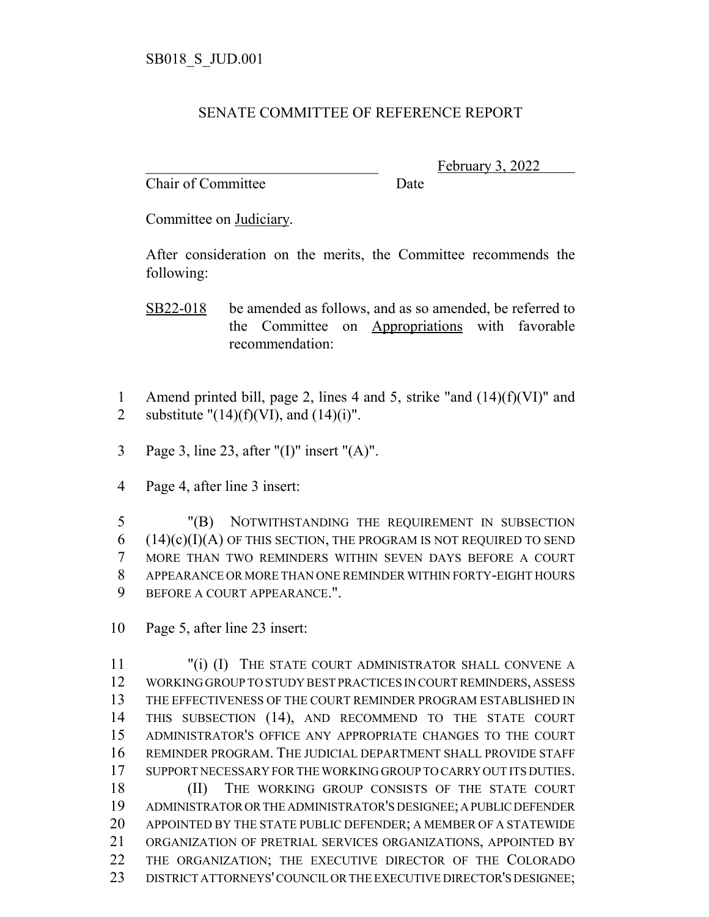## SENATE COMMITTEE OF REFERENCE REPORT

Chair of Committee Date

February 3, 2022

Committee on Judiciary.

After consideration on the merits, the Committee recommends the following:

SB22-018 be amended as follows, and as so amended, be referred to the Committee on Appropriations with favorable recommendation:

- 1 Amend printed bill, page 2, lines 4 and 5, strike "and (14)(f)(VI)" and 2 substitute " $(14)(f)(V)$ , and  $(14)(i)$ ".
- 3 Page 3, line 23, after "(I)" insert "(A)".
- 4 Page 4, after line 3 insert:

 "(B) NOTWITHSTANDING THE REQUIREMENT IN SUBSECTION (14)(c)(I)(A) OF THIS SECTION, THE PROGRAM IS NOT REQUIRED TO SEND MORE THAN TWO REMINDERS WITHIN SEVEN DAYS BEFORE A COURT APPEARANCE OR MORE THAN ONE REMINDER WITHIN FORTY-EIGHT HOURS BEFORE A COURT APPEARANCE.".

10 Page 5, after line 23 insert:

 "(i) (I) THE STATE COURT ADMINISTRATOR SHALL CONVENE A WORKING GROUP TO STUDY BEST PRACTICES IN COURT REMINDERS, ASSESS THE EFFECTIVENESS OF THE COURT REMINDER PROGRAM ESTABLISHED IN 14 THIS SUBSECTION (14), AND RECOMMEND TO THE STATE COURT ADMINISTRATOR'S OFFICE ANY APPROPRIATE CHANGES TO THE COURT REMINDER PROGRAM. THE JUDICIAL DEPARTMENT SHALL PROVIDE STAFF SUPPORT NECESSARY FOR THE WORKING GROUP TO CARRY OUT ITS DUTIES. 18 (II) THE WORKING GROUP CONSISTS OF THE STATE COURT ADMINISTRATOR OR THE ADMINISTRATOR'S DESIGNEE; A PUBLIC DEFENDER APPOINTED BY THE STATE PUBLIC DEFENDER; A MEMBER OF A STATEWIDE ORGANIZATION OF PRETRIAL SERVICES ORGANIZATIONS, APPOINTED BY THE ORGANIZATION; THE EXECUTIVE DIRECTOR OF THE COLORADO 23 DISTRICT ATTORNEYS' COUNCIL OR THE EXECUTIVE DIRECTOR'S DESIGNEE;